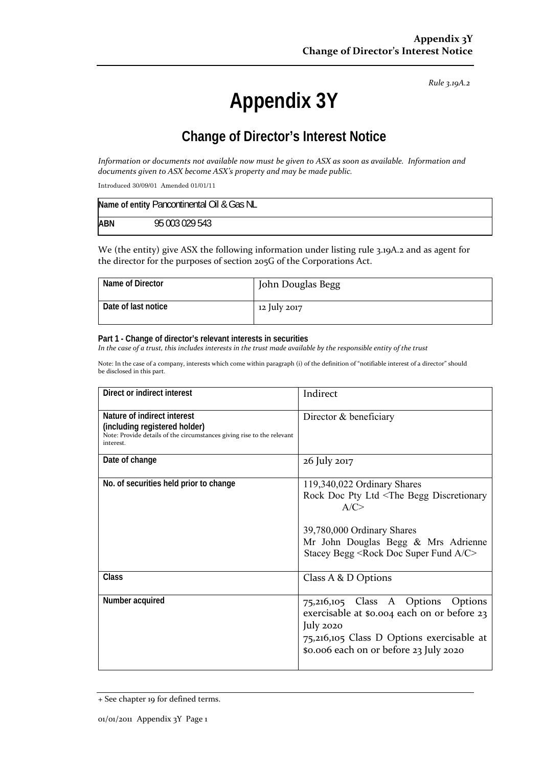*Rule 3.19A.2*

# **Appendix 3Y**

## **Change of Director's Interest Notice**

Information or documents not available now must be given to ASX as soon as available. Information and *documents given to ASX become ASX's property and may be made public.*

Introduced 30/09/01 Amended 01/01/11

| Name of entity Pancontinental Oil & Gas NL |                |  |
|--------------------------------------------|----------------|--|
| <b>ABN</b>                                 | 95 003 029 543 |  |

We (the entity) give ASX the following information under listing rule 3.19A.2 and as agent for the director for the purposes of section 205G of the Corporations Act.

| Name of Director    | John Douglas Begg |
|---------------------|-------------------|
| Date of last notice | 12 July 2017      |

#### **Part 1 - Change of director's relevant interests in securities**

In the case of a trust, this includes interests in the trust made available by the responsible entity of the trust

Note: In the case of a company, interests which come within paragraph (i) of the definition of "notifiable interest of a director" should be disclosed in this part.

| Direct or indirect interest                                                                                                                         | Indirect                                                                                                                                                                                                                                   |  |
|-----------------------------------------------------------------------------------------------------------------------------------------------------|--------------------------------------------------------------------------------------------------------------------------------------------------------------------------------------------------------------------------------------------|--|
| Nature of indirect interest<br>(including registered holder)<br>Note: Provide details of the circumstances giving rise to the relevant<br>interest. | Director & beneficiary                                                                                                                                                                                                                     |  |
| Date of change                                                                                                                                      | 26 July 2017                                                                                                                                                                                                                               |  |
| No. of securities held prior to change                                                                                                              | 119,340,022 Ordinary Shares<br>Rock Doc Pty Ltd <the begg="" discretionary<br="">A/C &gt;<br/>39,780,000 Ordinary Shares<br/>Mr John Douglas Begg &amp; Mrs Adrienne<br/>Stacey Begg <rock a="" c="" doc="" fund="" super=""></rock></the> |  |
| Class                                                                                                                                               | Class A & D Options                                                                                                                                                                                                                        |  |
| Number acquired                                                                                                                                     | 75,216,105 Class A Options Options<br>exercisable at \$0.004 each on or before 23<br>July 2020<br>75,216,105 Class D Options exercisable at<br>\$0.006 each on or before 23 July 2020                                                      |  |

<sup>+</sup> See chapter 19 for defined terms.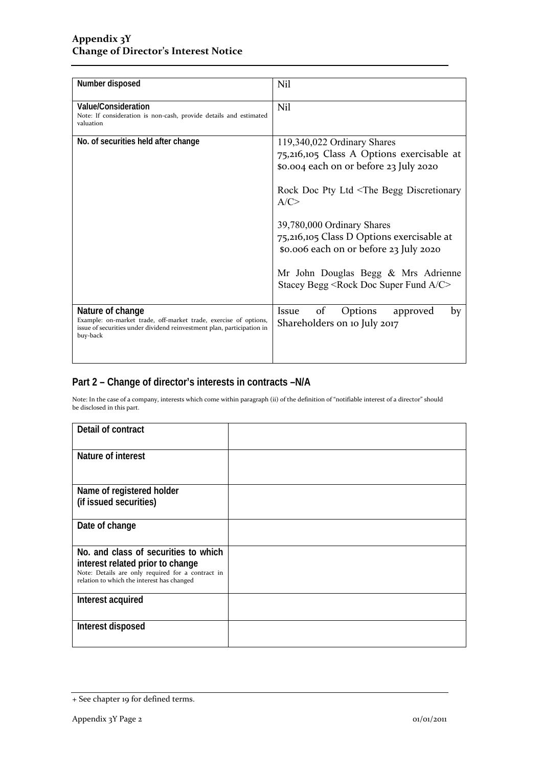| Number disposed                                                                                                                                                            | Nil                                                                                                                                                                                                                                                                                                                                                                                                                   |
|----------------------------------------------------------------------------------------------------------------------------------------------------------------------------|-----------------------------------------------------------------------------------------------------------------------------------------------------------------------------------------------------------------------------------------------------------------------------------------------------------------------------------------------------------------------------------------------------------------------|
| Value/Consideration<br>Note: If consideration is non-cash, provide details and estimated<br>valuation                                                                      | Nil                                                                                                                                                                                                                                                                                                                                                                                                                   |
| No. of securities held after change                                                                                                                                        | 119,340,022 Ordinary Shares<br>75,216,105 Class A Options exercisable at<br>\$0.004 each on or before 23 July 2020<br>Rock Doc Pty Ltd <the begg="" discretionary<br="">A/C<br/>39,780,000 Ordinary Shares<br/>75,216,105 Class D Options exercisable at<br/>\$0.006 each on or before 23 July 2020<br/>Mr John Douglas Begg &amp; Mrs Adrienne<br/>Stacey Begg <rock a="" c="" doc="" fund="" super=""></rock></the> |
| Nature of change<br>Example: on-market trade, off-market trade, exercise of options,<br>issue of securities under dividend reinvestment plan, participation in<br>buy-back | of<br>Options<br>Issue<br>approved<br>by<br>Shareholders on 10 July 2017                                                                                                                                                                                                                                                                                                                                              |

### **Part 2 – Change of director's interests in contracts –N/A**

Note: In the case of a company, interests which come within paragraph (ii) of the definition of "notifiable interest of a director" should be disclosed in this part.

| Detail of contract                                                                              |  |
|-------------------------------------------------------------------------------------------------|--|
| Nature of interest                                                                              |  |
| Name of registered holder                                                                       |  |
| (if issued securities)                                                                          |  |
| Date of change                                                                                  |  |
| No. and class of securities to which                                                            |  |
| interest related prior to change                                                                |  |
| Note: Details are only required for a contract in<br>relation to which the interest has changed |  |
| Interest acquired                                                                               |  |
| Interest disposed                                                                               |  |

<sup>+</sup> See chapter 19 for defined terms.